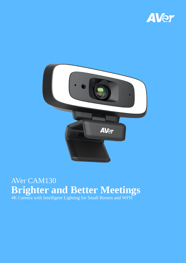



# AVer CAM130 **Brighter and Better Meetings**

4K Camera with Intelligent Lighting for Small Rooms and WFH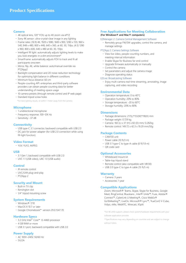#### **Camera**

- 4K optical lens, 120° FOV, up to 4X zoom via ePTZ
- Sony 4K sensor: ultra-crystal-clear image in any lighting
- Frame rates: (16:9) 4K, 1920 x 1080, 1600 x 900, 1280 x 720, 960 x 540, 848 x 480, 800 x 448, 640 x 360, at 60, 30, 15fps; (4:3) 1280 x 960, 800 x 600, 640 x 480 at 60, 30, 15fps
- · Intelligent fill light: automatically adjusts lighting levels to make you look energetic in a dim environment\*
- SmartFrame: automatically adjusts FOV to track and fit all participants onscreen
- Mirror, flip, AE, white balance: auto/manual override via PTZApp2
- Backlight compensation and 2D noise-reduction technology for optimizing light balance in different conditions
- Minimum focus distance: 60 cm
- People-counting API: enterprises and third-party software providers can obtain people-counting data for better understanding of meeting-space usage
- 10 camera presets (through remote control and IP web page)
- Standard tripod screw holes

\*For best lighting results, sit within 1 meter away from the camera

# **Microphone**

- 1 unidirectional microphone
- Frequency response: 100–12K Hz
- Sensitivity: -37 dB

#### **Connectivity**

- USB type-C 3.1 connector, backward compatible with USB 2.0
- DC jack for power adapter (for USB 2.0 connection while using fill-light function)

# **Video Format**

YUV, YUY2, MJPEG

# **USB**

- 3.1 Gen 1, backward compatible with USB 2.0
- UVC 1.1 (USB video), UAC 1.0 (USB audio)

#### **Control**

- IR remote control
- UVC/UVA plug-and-play
- PTZApp 2

# **Security and Mount**

- Built-in TV clip
- Kensington slot
- 1/4" tripod mounting screw

# **System Requirements**

- Windows® 7/10
- MacOS X 10.7 or later
- Google Chromebook™ version 29.0.1547.70

# **Hardware Specs**

- 3.2 GHz Intel® Core™ i5-4460 processor
- 4 GB RAM or more
- USB 3.1 port, backward compatible with USB 2.0

# **Power Supply**

- AC 100V–240V, 50/60 Hz
- $\cdot$  5V/2A

# **Free Applications for Meeting Collaboration (For Windows® and Mac® computers)**

#### EZManager 2: Camera Central Management Software

 Remotely group FW/SW upgrades, control the camera, and manage settings

#### PTZApp 2: Camera Settings Software

- View live video, people-counting numbers, and meeting-interval information
- Enable Skype for Business far-end control
- Upgrade firmware automatically or manually
- Control the camera
- Set parameters and adjust the camera image
- Diagnose operating status

#### EZLive: Broadcasting Software

 Enjoy multi-camera real-time streaming, annotating, image capturing, and video recording

#### **Environmental Data**

- Operation temperature: 0 to 40°C
- Operation humidity: 20% to 80%
- Storage temperature: -20 to 60°C
- Storage humidity: 20% to 80%

# **Dimensions**

- Package dimensions: 217(L)\*155(W)\*118(H) mm
- Package weight: 0.729 kg
- Camera: 160 (L) x 37 (H) x 60 (D) mm/ 0.282kg
- Remote control: 149.72 x 42.3 x 19.29 mm/50g

### **Package Contents**

- CAM130 unit
- $\cdot$  Power cable (10 ft/3 m)
- USB 3.1 type-C to type-A cable (6 ft/1.8 m)
- QR code card

#### **Optional Accessories**

- Whiteboard mount kit
- Table-top tripod stand
- Remote control (also compatible with VB130)
- USB 2.0 type-C to type-A cable (15 ft/5 m)

# **Warranty**

- Camera: 3 years
- Accessories: 1 year

# **Compatible Applications**

Zoom, Microsoft® Teams, Skype, Skype for Business, Google Meet, RingCentral, BlueJeans , Intel® Unite™, Fuze, Adobe® Connect™, CyberLink U Meeting®, Cisco WebEx® GoToMeeting™, LiveOn, Microsoft® Lync™, TrueConf, V-Cube, Vidyo, vMix, WebRTC, Wirecast, XSplit

\*For 4K UHD support, please check system/hardware requirements with your software application provider.

\*\*Specifications may vary depending on countries and are subject to change without notice